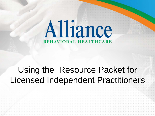# Alliance **BEHAVIORAL HEALTHCARE**

### Using the Resource Packet for Licensed Independent Practitioners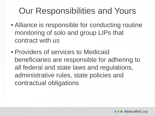### Our Responsibilities and Yours

- Alliance is responsible for conducting routine monitoring of solo and group LIPs that contract with us
- Providers of services to Medicaid beneficiaries are responsible for adhering to all federal and state laws and regulations, administrative rules, state policies and contractual obligations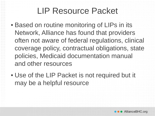- Based on routine monitoring of LIPs in its Network, Alliance has found that providers often not aware of federal regulations, clinical coverage policy, contractual obligations, state policies, Medicaid documentation manual and other resources
- Use of the LIP Packet is not required but it may be a helpful resource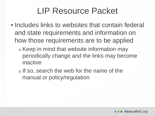- Includes links to websites that contain federal and state requirements and information on how those requirements are to be applied
	- <sup>o</sup> Keep in mind that website information may periodically change and the links may become inactive
	- <sup>o</sup> If so, search the web for the name of the manual or policy/regulation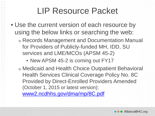- Use the current version of each resource by using the below links or searching the web:
	- <sup>o</sup> Records Management and Documentation Manual for Providers of Publicly-funded MH, IDD, SU services and LME/MCOs (APSM 45-2)
		- New APSM 45-2 is coming out FY17
	- <sup>o</sup> Medicaid and Health Choice Outpatient Behavioral Health Services Clinical Coverage Policy No. 8C Provided by Direct-Enrolled Providers Amended (October 1, 2015 or latest version): [www2.ncdhhs.gov/dma/mp/8C.pdf](https://www2.ncdhhs.gov/dma/mp/8C.pdf)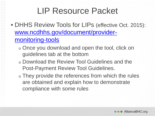- DHHS Review Tools for LIPs (effective Oct. 2015): [www.ncdhhs.gov/document/provider](https://www.ncdhhs.gov/document/provider-monitoring-tools)monitoring-tools
	- <sup>o</sup> Once you download and open the tool, click on guidelines tab at the bottom
	- <sup>o</sup> Download the Review Tool Guidelines and the Post-Payment Review Tool Guidelines.
	- o They provide the references from which the rules are obtained and explain how to demonstrate compliance with some rules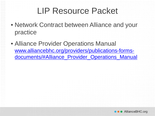- Network Contract between Alliance and your practice
- Alliance Provider Operations Manual www.alliancebhc.org/providers/publications-forms[documents/#Alliance\\_Provider\\_Operations\\_Manual](http://www.alliancebhc.org/providers/publications-forms-documents/#Alliance_Provider_Operations_Manual)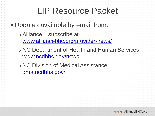• Updates available by email from:

- <sup>o</sup> Alliance subscribe at [www.alliancebhc.org/provider-news/](http://www.alliancebhc.org/provider-news/)
- <sup>o</sup> NC Department of Health and Human Services [www.ncdhhs.gov/news](http://www.ncdhhs.gov/news)

<sup>o</sup> NC Division of Medical Assistance [dma.ncdhhs.gov/](http://dma.ncdhhs.gov/)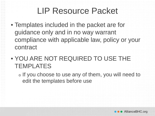- Templates included in the packet are for guidance only and in no way warrant compliance with applicable law, policy or your contract
- YOU ARE NOT REQUIRED TO USE THE **TEMPLATES** 
	- <sup>o</sup> If you choose to use any of them, you will need to edit the templates before use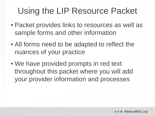### Using the LIP Resource Packet

- Packet provides links to resources as well as sample forms and other information
- All forms need to be adapted to reflect the nuances of your practice
- We have provided prompts in red text throughout this packet where you will add your provider information and processes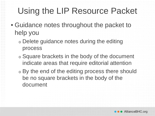### Using the LIP Resource Packet

- Guidance notes throughout the packet to help you
	- <sup>o</sup> Delete guidance notes during the editing process
	- <sup>o</sup> Square brackets in the body of the document indicate areas that require editorial attention
	- <sup>o</sup> By the end of the editing process there should be no square brackets in the body of the document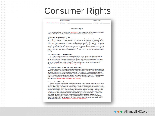#### Consumer Rights

**Practice Letterhead** 

 $0.101 - 0.01$ 

**ALC UNITED** 

ALC ALC A

Date of Birth:

Medical Record #

#### **Consumer Rights**

When you receive services through [Practice name], you have certain rights. This handout will tell you about those rights and what to do if you have problems or questions.

#### Your rights are guaranteed by law.

**Consumer Name:** 

**Medicaid Number** 

Unless you have been declared incompetent by a court, you have the same basic civil rights and remedies as other citizens, including the right to buy or sell property, sign a contract, register and vote, sue others who have wronged you, and marry or get a divorce. You also have other rights guaranteed by North Carolina General Statutes 122C, Article 3, including the right to dignity, privacy, humane care, and freedom from physical punishment, abuse, neglect, and exploitation. It is the responsibility of the person program that you are receiving services from to provide you or your legally responsible person a written summary of your rights within your first three visits to the agency (or your first 72 hours if you are in a 24-hour facility).

#### You have the right to a treatment plan.

A written treatment plan, based on your individual needs, must be implemented within 15 calendar days of admission. You have the right to treatment in the most normal, ageappropriate and least restrictive environment possible. You have the right to take part in the development and periodic review of this plan. You are entitled to review your treatment plan and to understand how to obtain a copy of it from your therapist or the Medical Records Department. [Practice needs to describe their process.]

#### You have the right to be informed about medications.

You have the right to have medication administered in accordance with accepted medical standards and upon the order of a physician. When medication is needed, you have the right to receive it in the lowest possible therapeutic dose. You cannot be treated with experimental drugs or procedures without your written permission and without being informed of the risks, benefits and alternatives. You may refuse to take medication; however, you will be informed of the risks of doing this. Medication cannot be used for punishment, discipline or staff convenience. [Practice needs to describe their process.]

#### You have the right to refuse treatment.

Before you agree to your plan, you will be informed of the benefits or risk involved in the services you will receive. You have the right to consent to treatment and may withdraw your consent at any time. You have the right to refuse treatment as described in the statute without threat or termination of services except as outlined in the statute. If you have asked to receive services, you always have a right to agree to or refuse any specific treatment. The only time you can be treated without your consent is in an emergency situation, or when it has been court-ordered, or if you are a minor and your parents have given permission. A minor may seek and receive periodic services from a physician without parental consent for the prevention, diagnosis and treatment of  $(1)$  venereal disease and other diseases reportable under G.S. 130A-135, (2) pregnancy, (3) abuse of controlled substances or alcohol, and (4) emotional disturbance. [Practice needs to describe their process.]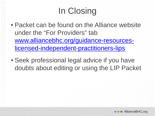## In Closing

- Packet can be found on the Alliance website under the "For Providers" tab [www.alliancebhc.org/guidance-resources](http://www.alliancebhc.org/guidance-resources-licensed-independent-practitioners-lips)licensed-independent-practitioners-lips
- Seek professional legal advice if you have doubts about editing or using the LIP Packet